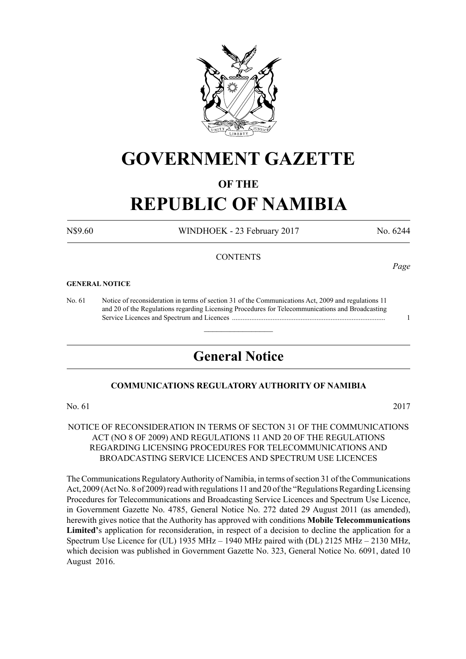

# **GOVERNMENT GAZETTE**

# **OF THE**

# **REPUBLIC OF NAMIBIA**

N\$9.60 WINDHOEK - 23 February 2017 No. 6244

#### **CONTENTS**

#### **GENERAL NOTICE**

No. 61 Notice of reconsideration in terms of section 31 of the Communications Act, 2009 and regulations 11 and 20 of the Regulations regarding Licensing Procedures for Telecommunications and Broadcasting Service Licences and Spectrum and Licences ....................................................................................... 1

# **General Notice**

 $\overline{\phantom{a}}$  , where  $\overline{\phantom{a}}$ 

#### **COMMUNICATIONS REGULATORY AUTHORITY OF NAMIBIA**

No. 61 2017

#### NOTICE OF RECONSIDERATION IN TERMS OF SECTON 31 OF THE COMMUNICATIONS ACT (NO 8 OF 2009) AND REGULATIONS 11 AND 20 OF THE REGULATIONS REGARDING LICENSING PROCEDURES FOR TELECOMMUNICATIONS AND BROADCASTING SERVICE LICENCES AND SPECTRUM USE LICENCES

The Communications Regulatory Authority of Namibia, in terms of section 31 of the Communications Act, 2009 (Act No. 8 of 2009) read with regulations 11 and 20 of the "Regulations Regarding Licensing Procedures for Telecommunications and Broadcasting Service Licences and Spectrum Use Licence, in Government Gazette No. 4785, General Notice No. 272 dated 29 August 2011 (as amended), herewith gives notice that the Authority has approved with conditions **Mobile Telecommunications Limited'**s application for reconsideration, in respect of a decision to decline the application for a Spectrum Use Licence for (UL) 1935 MHz – 1940 MHz paired with (DL) 2125 MHz – 2130 MHz, which decision was published in Government Gazette No. 323, General Notice No. 6091, dated 10 August 2016.

*Page*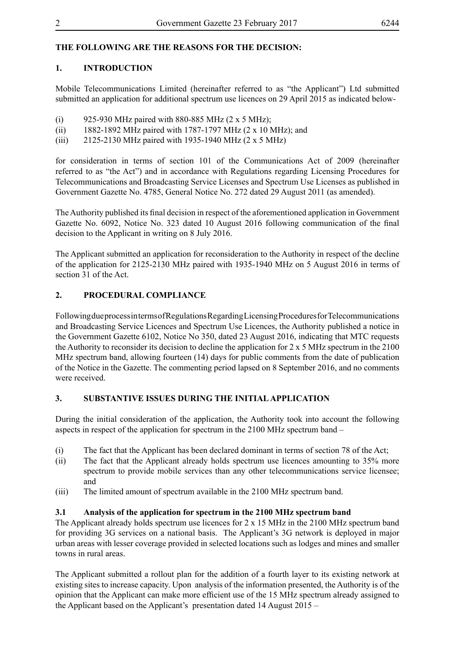# **THE FOLLOWING ARE THE REASONS FOR THE DECISION:**

#### **1. INTRODUCTION**

Mobile Telecommunications Limited (hereinafter referred to as "the Applicant") Ltd submitted submitted an application for additional spectrum use licences on 29 April 2015 as indicated below-

- (i) 925-930 MHz paired with 880-885 MHz  $(2 \times 5 \text{ MHz})$ ;
- (ii) 1882-1892 MHz paired with 1787-1797 MHz (2 x 10 MHz); and
- (iii) 2125-2130 MHz paired with 1935-1940 MHz (2 x 5 MHz)

for consideration in terms of section 101 of the Communications Act of 2009 (hereinafter referred to as "the Act") and in accordance with Regulations regarding Licensing Procedures for Telecommunications and Broadcasting Service Licenses and Spectrum Use Licenses as published in Government Gazette No. 4785, General Notice No. 272 dated 29 August 2011 (as amended).

The Authority published its final decision in respect of the aforementioned application in Government Gazette No. 6092, Notice No. 323 dated 10 August 2016 following communication of the final decision to the Applicant in writing on 8 July 2016.

The Applicant submitted an application for reconsideration to the Authority in respect of the decline of the application for 2125-2130 MHz paired with 1935-1940 MHz on 5 August 2016 in terms of section 31 of the Act.

#### **2. PROCEDURAL COMPLIANCE**

Following due process in terms of Regulations Regarding Licensing Procedures for Telecommunications and Broadcasting Service Licences and Spectrum Use Licences, the Authority published a notice in the Government Gazette 6102, Notice No 350, dated 23 August 2016, indicating that MTC requests the Authority to reconsider its decision to decline the application for 2 x 5 MHz spectrum in the 2100 MHz spectrum band, allowing fourteen (14) days for public comments from the date of publication of the Notice in the Gazette. The commenting period lapsed on 8 September 2016, and no comments were received.

# **3. SUBSTANTIVE ISSUES DURING THE INITIAL APPLICATION**

During the initial consideration of the application, the Authority took into account the following aspects in respect of the application for spectrum in the 2100 MHz spectrum band –

- (i) The fact that the Applicant has been declared dominant in terms of section 78 of the Act;
- (ii) The fact that the Applicant already holds spectrum use licences amounting to 35% more spectrum to provide mobile services than any other telecommunications service licensee; and
- (iii) The limited amount of spectrum available in the 2100 MHz spectrum band.

#### **3.1 Analysis of the application for spectrum in the 2100 MHz spectrum band**

The Applicant already holds spectrum use licences for 2 x 15 MHz in the 2100 MHz spectrum band for providing 3G services on a national basis. The Applicant's 3G network is deployed in major urban areas with lesser coverage provided in selected locations such as lodges and mines and smaller towns in rural areas.

The Applicant submitted a rollout plan for the addition of a fourth layer to its existing network at existing sites to increase capacity. Upon analysis of the information presented, the Authority is of the opinion that the Applicant can make more efficient use of the 15 MHz spectrum already assigned to the Applicant based on the Applicant's presentation dated 14 August 2015 –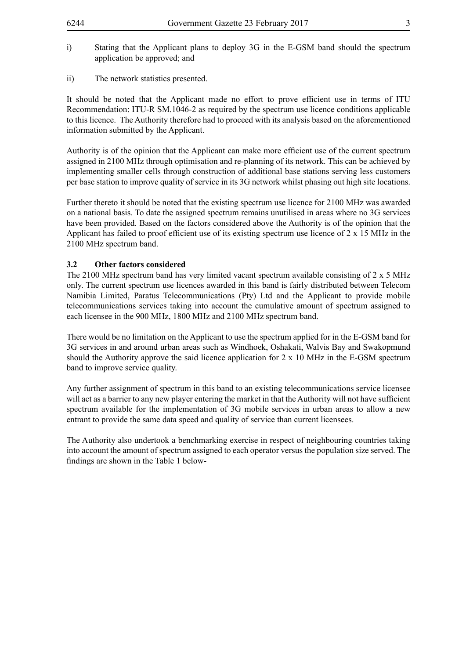- i) Stating that the Applicant plans to deploy 3G in the E-GSM band should the spectrum application be approved; and
- ii) The network statistics presented.

It should be noted that the Applicant made no effort to prove efficient use in terms of ITU Recommendation: ITU-R SM.1046-2 as required by the spectrum use licence conditions applicable to this licence. The Authority therefore had to proceed with its analysis based on the aforementioned information submitted by the Applicant.

Authority is of the opinion that the Applicant can make more efficient use of the current spectrum assigned in 2100 MHz through optimisation and re-planning of its network. This can be achieved by implementing smaller cells through construction of additional base stations serving less customers per base station to improve quality of service in its 3G network whilst phasing out high site locations.

Further thereto it should be noted that the existing spectrum use licence for 2100 MHz was awarded on a national basis. To date the assigned spectrum remains unutilised in areas where no 3G services have been provided. Based on the factors considered above the Authority is of the opinion that the Applicant has failed to proof efficient use of its existing spectrum use licence of 2 x 15 MHz in the 2100 MHz spectrum band.

#### **3.2 Other factors considered**

The 2100 MHz spectrum band has very limited vacant spectrum available consisting of 2 x 5 MHz only. The current spectrum use licences awarded in this band is fairly distributed between Telecom Namibia Limited, Paratus Telecommunications (Pty) Ltd and the Applicant to provide mobile telecommunications services taking into account the cumulative amount of spectrum assigned to each licensee in the 900 MHz, 1800 MHz and 2100 MHz spectrum band.

There would be no limitation on the Applicant to use the spectrum applied for in the E-GSM band for 3G services in and around urban areas such as Windhoek, Oshakati, Walvis Bay and Swakopmund should the Authority approve the said licence application for  $2 \times 10$  MHz in the E-GSM spectrum band to improve service quality.

Any further assignment of spectrum in this band to an existing telecommunications service licensee will act as a barrier to any new player entering the market in that the Authority will not have sufficient spectrum available for the implementation of 3G mobile services in urban areas to allow a new entrant to provide the same data speed and quality of service than current licensees.

The Authority also undertook a benchmarking exercise in respect of neighbouring countries taking into account the amount of spectrum assigned to each operator versus the population size served. The findings are shown in the Table 1 below-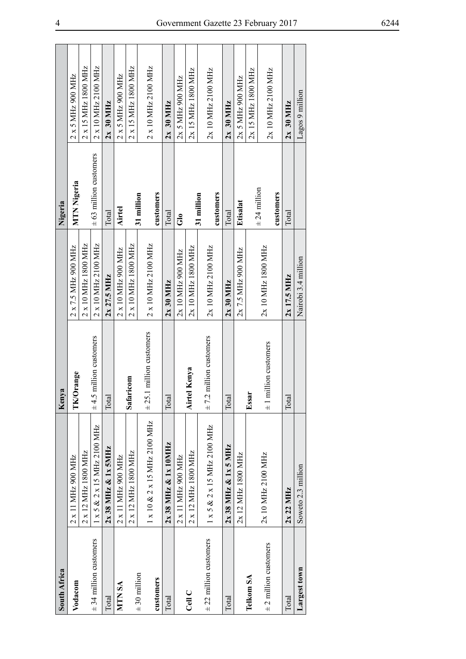| South Africa                |                                          | Kenya                          |                     | Nigeria                    |                     |
|-----------------------------|------------------------------------------|--------------------------------|---------------------|----------------------------|---------------------|
| Vodacom                     | 2 x 11 MHz 900 MHz                       | TK/Orange                      | 2 x 7.5 MHz 900 MHz | MTN Nigeria                | 2 x 5 MHz 900 MHz   |
|                             | 2 x 12 MHz 1800 MHz                      |                                | 2 x 10 MHz 1800 MHz |                            | 2 x 15 MHz 1800 MHz |
| $\pm$ 34 million customers  | $1 \times 5 \& 2 \times 15$ MHz 2100 MHz | million customers<br>$\pm 4.5$ | 2 x 10 MHz 2100 MHz | $\pm$ 63 million customers | 2 x 10 MHz 2100 MHz |
| Total                       | $2x$ 38 MHz & $1x$ SMHz                  | Total                          | $2x\ 27.5$ MHz      | Total                      | $2x$ 30 MHz         |
| <b>NTN SA</b>               | 2 x 11 MHz 900 MHz                       |                                | 2 x 10 MHz 900 MHz  | <b>Airtel</b>              | 2 x 5 MHz 900 MHz   |
|                             | 2 x 12 MHz 1800 MHz                      | Safaricom                      | 2 x 10 MHz 1800 MHz |                            | 2 x 15 MHz 1800 MHz |
| $± 30$ million<br>customers | 1 x 10 & 2 x 15 MHz 2100 MHz             | $\pm$ 25.1 million customers   | 2 x 10 MHz 2100 MHz | customers<br>31 million    | 2 x 10 MHz 2100 MHz |
| Total                       | $2x$ 38 MHz & $1x$ 10 MHz                | Total                          | $2x30$ MHz          | Total                      | $2x$ 30 MHz         |
|                             | 2 x 11 MHz 900 MHz                       |                                | 2x 10 MHz 900 MHz   | ಕೆ                         | 2x 5 MHz 900 MHz    |
| Cell C                      | 2 x 12 MHz 1800 MHz                      | <b>Airtel Kenya</b>            | 2x 10 MHz 1800 MHz  |                            | 2x 15 MHz 1800 MHz  |
| $\pm$ 22 million customers  | $1 \times 5 \& 2 \times 15$ MHz 2100 MHz | $\pm$ 7.2 million customers    | 2x 10 MHz 2100 MHz  | customers<br>31 million    | 2x 10 MHz 2100 MHz  |
| Total                       | $2x$ 38 MHz & $1x$ 5 MHz                 | Total                          | $2x30$ MHz          | Total                      | $2x$ 30 MHz         |
|                             | 2x 12 MHz 1800 MHz                       |                                | 2x 7.5 MHz 900 MHz  | Etisalat                   | 2x 5 MHz 900 MHz    |
| Telkom SA                   |                                          | Essai                          |                     |                            | 2x 15 MHz 1800 MHz  |
| $\pm$ 2 million customers   | 2x 10 MHz 2100 MHz                       | $±1$ million customers         | 2x 10 MHz 1800 MHz  | $\pm$ 24 million           | 2x 10 MHz 2100 MHz  |
|                             |                                          |                                |                     | customers                  |                     |
| Total                       | 2x 22 MHz                                | Total                          | $2x$ 17.5 MHz       | Total                      | $2x$ 30 MHz         |
| Largest town                | Soweto 2.3 million                       |                                | Nairobi 3.4 million |                            | Lagos 9 million     |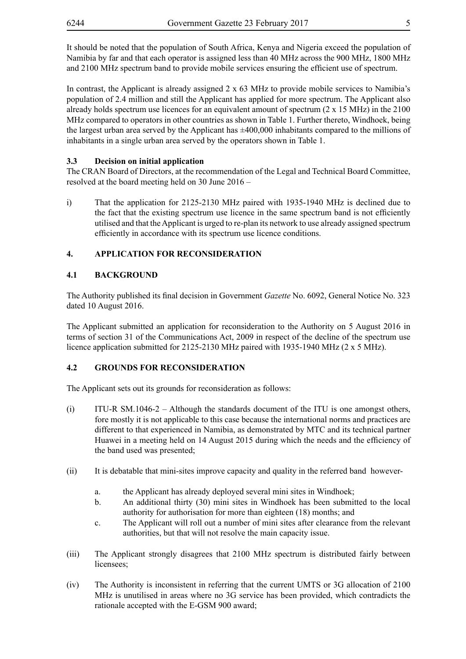It should be noted that the population of South Africa, Kenya and Nigeria exceed the population of Namibia by far and that each operator is assigned less than 40 MHz across the 900 MHz, 1800 MHz and 2100 MHz spectrum band to provide mobile services ensuring the efficient use of spectrum.

In contrast, the Applicant is already assigned  $2 \times 63$  MHz to provide mobile services to Namibia's population of 2.4 million and still the Applicant has applied for more spectrum. The Applicant also already holds spectrum use licences for an equivalent amount of spectrum  $(2 \times 15 \text{ MHz})$  in the 2100 MHz compared to operators in other countries as shown in Table 1. Further thereto, Windhoek, being the largest urban area served by the Applicant has  $\pm 400,000$  inhabitants compared to the millions of inhabitants in a single urban area served by the operators shown in Table 1.

# **3.3 Decision on initial application**

The CRAN Board of Directors, at the recommendation of the Legal and Technical Board Committee, resolved at the board meeting held on 30 June 2016 –

i) That the application for 2125-2130 MHz paired with 1935-1940 MHz is declined due to the fact that the existing spectrum use licence in the same spectrum band is not efficiently utilised and that the Applicant is urged to re-plan its network to use already assigned spectrum efficiently in accordance with its spectrum use licence conditions.

# **4. APPLICATION FOR RECONSIDERATION**

# **4.1 BACKGROUND**

The Authority published its final decision in Government *Gazette* No. 6092, General Notice No. 323 dated 10 August 2016.

The Applicant submitted an application for reconsideration to the Authority on 5 August 2016 in terms of section 31 of the Communications Act, 2009 in respect of the decline of the spectrum use licence application submitted for 2125-2130 MHz paired with 1935-1940 MHz (2 x 5 MHz).

# **4.2 GROUNDS FOR RECONSIDERATION**

The Applicant sets out its grounds for reconsideration as follows:

- (i) ITU-R SM.1046-2 Although the standards document of the ITU is one amongst others, fore mostly it is not applicable to this case because the international norms and practices are different to that experienced in Namibia, as demonstrated by MTC and its technical partner Huawei in a meeting held on 14 August 2015 during which the needs and the efficiency of the band used was presented;
- (ii) It is debatable that mini-sites improve capacity and quality in the referred band however
	- a. the Applicant has already deployed several mini sites in Windhoek;
	- b. An additional thirty (30) mini sites in Windhoek has been submitted to the local authority for authorisation for more than eighteen (18) months; and
	- c. The Applicant will roll out a number of mini sites after clearance from the relevant authorities, but that will not resolve the main capacity issue.
- (iii) The Applicant strongly disagrees that 2100 MHz spectrum is distributed fairly between licensees;
- (iv) The Authority is inconsistent in referring that the current UMTS or 3G allocation of 2100 MHz is unutilised in areas where no 3G service has been provided, which contradicts the rationale accepted with the E-GSM 900 award;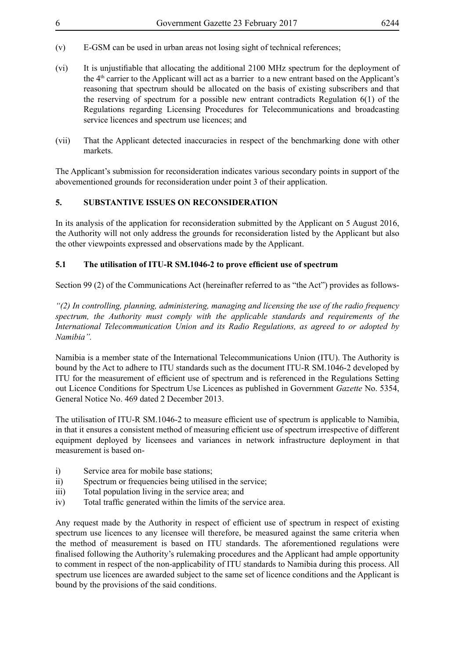- (v) E-GSM can be used in urban areas not losing sight of technical references;
- (vi) It is unjustifiable that allocating the additional 2100 MHz spectrum for the deployment of the 4th carrier to the Applicant will act as a barrier to a new entrant based on the Applicant's reasoning that spectrum should be allocated on the basis of existing subscribers and that the reserving of spectrum for a possible new entrant contradicts Regulation 6(1) of the Regulations regarding Licensing Procedures for Telecommunications and broadcasting service licences and spectrum use licences; and
- (vii) That the Applicant detected inaccuracies in respect of the benchmarking done with other markets.

The Applicant's submission for reconsideration indicates various secondary points in support of the abovementioned grounds for reconsideration under point 3 of their application.

# **5. SUBSTANTIVE ISSUES ON RECONSIDERATION**

In its analysis of the application for reconsideration submitted by the Applicant on 5 August 2016, the Authority will not only address the grounds for reconsideration listed by the Applicant but also the other viewpoints expressed and observations made by the Applicant.

# **5.1 The utilisation of ITU-R SM.1046-2 to prove efficient use of spectrum**

Section 99 (2) of the Communications Act (hereinafter referred to as "the Act") provides as follows-

*"(2) In controlling, planning, administering, managing and licensing the use of the radio frequency spectrum, the Authority must comply with the applicable standards and requirements of the International Telecommunication Union and its Radio Regulations, as agreed to or adopted by Namibia".*

Namibia is a member state of the International Telecommunications Union (ITU). The Authority is bound by the Act to adhere to ITU standards such as the document ITU-R SM.1046-2 developed by ITU for the measurement of efficient use of spectrum and is referenced in the Regulations Setting out Licence Conditions for Spectrum Use Licences as published in Government *Gazette* No. 5354, General Notice No. 469 dated 2 December 2013.

The utilisation of ITU-R SM.1046-2 to measure efficient use of spectrum is applicable to Namibia, in that it ensures a consistent method of measuring efficient use of spectrum irrespective of different equipment deployed by licensees and variances in network infrastructure deployment in that measurement is based on-

- i) Service area for mobile base stations;
- ii) Spectrum or frequencies being utilised in the service;
- iii) Total population living in the service area; and
- iv) Total traffic generated within the limits of the service area.

Any request made by the Authority in respect of efficient use of spectrum in respect of existing spectrum use licences to any licensee will therefore, be measured against the same criteria when the method of measurement is based on ITU standards. The aforementioned regulations were finalised following the Authority's rulemaking procedures and the Applicant had ample opportunity to comment in respect of the non-applicability of ITU standards to Namibia during this process. All spectrum use licences are awarded subject to the same set of licence conditions and the Applicant is bound by the provisions of the said conditions.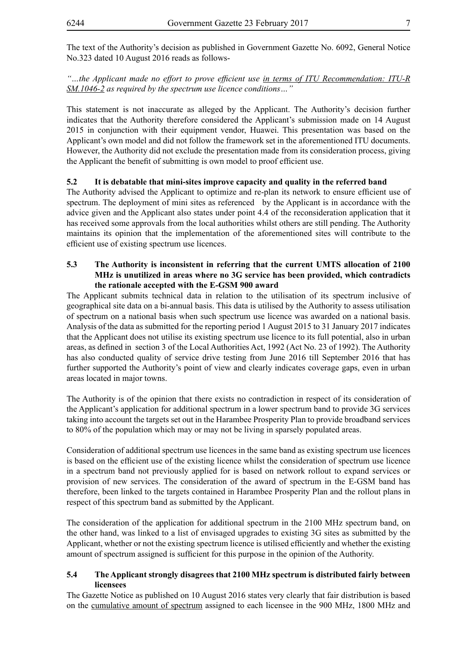The text of the Authority's decision as published in Government Gazette No. 6092, General Notice No.323 dated 10 August 2016 reads as follows-

*"…the Applicant made no effort to prove efficient use in terms of ITU Recommendation: ITU-R SM.1046-2 as required by the spectrum use licence conditions…"*

This statement is not inaccurate as alleged by the Applicant. The Authority's decision further indicates that the Authority therefore considered the Applicant's submission made on 14 August 2015 in conjunction with their equipment vendor, Huawei. This presentation was based on the Applicant's own model and did not follow the framework set in the aforementioned ITU documents. However, the Authority did not exclude the presentation made from its consideration process, giving the Applicant the benefit of submitting is own model to proof efficient use.

# **5.2 It is debatable that mini-sites improve capacity and quality in the referred band**

The Authority advised the Applicant to optimize and re-plan its network to ensure efficient use of spectrum. The deployment of mini sites as referenced by the Applicant is in accordance with the advice given and the Applicant also states under point 4.4 of the reconsideration application that it has received some approvals from the local authorities whilst others are still pending. The Authority maintains its opinion that the implementation of the aforementioned sites will contribute to the efficient use of existing spectrum use licences.

# **5.3 The Authority is inconsistent in referring that the current UMTS allocation of 2100 MHz is unutilized in areas where no 3G service has been provided, which contradicts the rationale accepted with the E-GSM 900 award**

The Applicant submits technical data in relation to the utilisation of its spectrum inclusive of geographical site data on a bi-annual basis. This data is utilised by the Authority to assess utilisation of spectrum on a national basis when such spectrum use licence was awarded on a national basis. Analysis of the data as submitted for the reporting period 1 August 2015 to 31 January 2017 indicates that the Applicant does not utilise its existing spectrum use licence to its full potential, also in urban areas, as defined in section 3 of the Local Authorities Act, 1992 (Act No. 23 of 1992). The Authority has also conducted quality of service drive testing from June 2016 till September 2016 that has further supported the Authority's point of view and clearly indicates coverage gaps, even in urban areas located in major towns.

The Authority is of the opinion that there exists no contradiction in respect of its consideration of the Applicant's application for additional spectrum in a lower spectrum band to provide 3G services taking into account the targets set out in the Harambee Prosperity Plan to provide broadband services to 80% of the population which may or may not be living in sparsely populated areas.

Consideration of additional spectrum use licences in the same band as existing spectrum use licences is based on the efficient use of the existing licence whilst the consideration of spectrum use licence in a spectrum band not previously applied for is based on network rollout to expand services or provision of new services. The consideration of the award of spectrum in the E-GSM band has therefore, been linked to the targets contained in Harambee Prosperity Plan and the rollout plans in respect of this spectrum band as submitted by the Applicant.

The consideration of the application for additional spectrum in the 2100 MHz spectrum band, on the other hand, was linked to a list of envisaged upgrades to existing 3G sites as submitted by the Applicant, whether or not the existing spectrum licence is utilised efficiently and whether the existing amount of spectrum assigned is sufficient for this purpose in the opinion of the Authority.

#### **5.4 The Applicant strongly disagrees that 2100 MHz spectrum is distributed fairly between licensees**

The Gazette Notice as published on 10 August 2016 states very clearly that fair distribution is based on the cumulative amount of spectrum assigned to each licensee in the 900 MHz, 1800 MHz and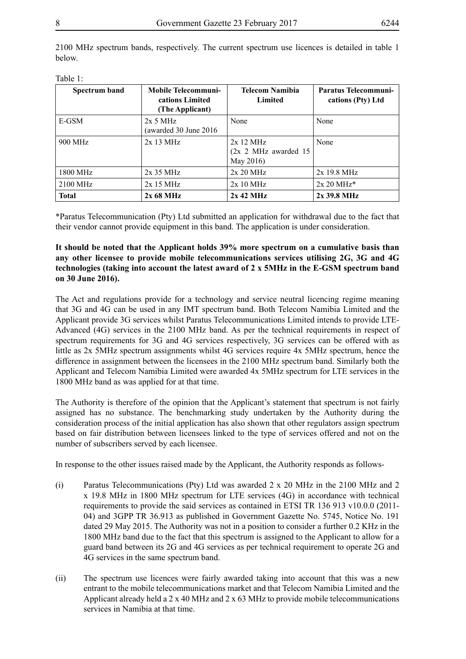| Spectrum band | <b>Mobile Telecommuni-</b><br>cations Limited<br>(The Applicant) | Telecom Namibia<br>Limited                        | <b>Paratus Telecommuni-</b><br>cations (Pty) Ltd |
|---------------|------------------------------------------------------------------|---------------------------------------------------|--------------------------------------------------|
| E-GSM         | $2x$ 5 MHz<br>(awarded 30 June 2016)                             | None                                              | None                                             |
| 900 MHz       | $2x$ 13 MHz                                                      | $2x$ 12 MHz<br>(2x 2 MHz awarded 15)<br>May 2016) | None                                             |
| 1800 MHz      | $2x35 \text{ MHz}$                                               | 2x 20 MHz                                         | $2x$ 19.8 MHz                                    |
| 2100 MHz      | $2x$ 15 MHz                                                      | $2x10 \text{ MHz}$                                | $2x 20 MHz*$                                     |
| <b>Total</b>  | $2x\,68\,\mathrm{MHz}$                                           | 2x 42 MHz                                         | $2x$ 39.8 MHz                                    |

2100 MHz spectrum bands, respectively. The current spectrum use licences is detailed in table 1 below.

| Table |  |
|-------|--|
|       |  |

\*Paratus Telecommunication (Pty) Ltd submitted an application for withdrawal due to the fact that their vendor cannot provide equipment in this band. The application is under consideration.

#### **It should be noted that the Applicant holds 39% more spectrum on a cumulative basis than any other licensee to provide mobile telecommunications services utilising 2G, 3G and 4G technologies (taking into account the latest award of 2 x 5MHz in the E-GSM spectrum band on 30 June 2016).**

The Act and regulations provide for a technology and service neutral licencing regime meaning that 3G and 4G can be used in any IMT spectrum band. Both Telecom Namibia Limited and the Applicant provide 3G services whilst Paratus Telecommunications Limited intends to provide LTE-Advanced (4G) services in the 2100 MHz band. As per the technical requirements in respect of spectrum requirements for 3G and 4G services respectively, 3G services can be offered with as little as 2x 5MHz spectrum assignments whilst 4G services require 4x 5MHz spectrum, hence the difference in assignment between the licensees in the 2100 MHz spectrum band. Similarly both the Applicant and Telecom Namibia Limited were awarded 4x 5MHz spectrum for LTE services in the 1800 MHz band as was applied for at that time.

The Authority is therefore of the opinion that the Applicant's statement that spectrum is not fairly assigned has no substance. The benchmarking study undertaken by the Authority during the consideration process of the initial application has also shown that other regulators assign spectrum based on fair distribution between licensees linked to the type of services offered and not on the number of subscribers served by each licensee.

In response to the other issues raised made by the Applicant, the Authority responds as follows-

- (i) Paratus Telecommunications (Pty) Ltd was awarded 2 x 20 MHz in the 2100 MHz and 2 x 19.8 MHz in 1800 MHz spectrum for LTE services (4G) in accordance with technical requirements to provide the said services as contained in ETSI TR 136 913 v10.0.0 (2011- 04) and 3GPP TR 36.913 as published in Government Gazette No. 5745, Notice No. 191 dated 29 May 2015. The Authority was not in a position to consider a further 0.2 KHz in the 1800 MHz band due to the fact that this spectrum is assigned to the Applicant to allow for a guard band between its 2G and 4G services as per technical requirement to operate 2G and 4G services in the same spectrum band.
- (ii) The spectrum use licences were fairly awarded taking into account that this was a new entrant to the mobile telecommunications market and that Telecom Namibia Limited and the Applicant already held a  $2 \times 40$  MHz and  $2 \times 63$  MHz to provide mobile telecommunications services in Namibia at that time.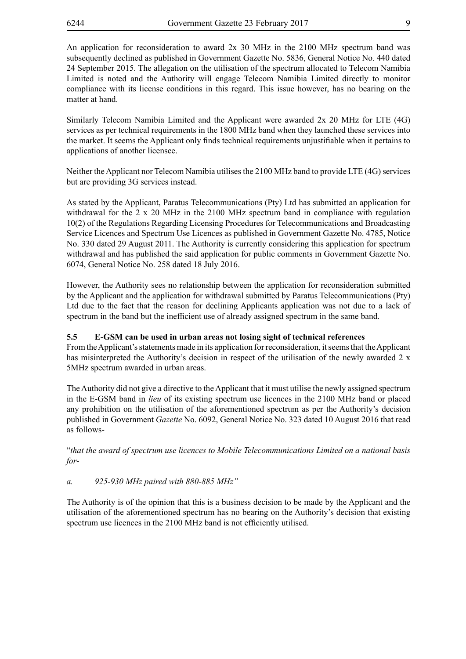An application for reconsideration to award 2x 30 MHz in the 2100 MHz spectrum band was subsequently declined as published in Government Gazette No. 5836, General Notice No. 440 dated 24 September 2015. The allegation on the utilisation of the spectrum allocated to Telecom Namibia Limited is noted and the Authority will engage Telecom Namibia Limited directly to monitor compliance with its license conditions in this regard. This issue however, has no bearing on the matter at hand.

Similarly Telecom Namibia Limited and the Applicant were awarded 2x 20 MHz for LTE (4G) services as per technical requirements in the 1800 MHz band when they launched these services into the market. It seems the Applicant only finds technical requirements unjustifiable when it pertains to applications of another licensee.

Neither the Applicant nor Telecom Namibia utilises the 2100 MHz band to provide LTE (4G) services but are providing 3G services instead.

As stated by the Applicant, Paratus Telecommunications (Pty) Ltd has submitted an application for withdrawal for the 2 x 20 MHz in the 2100 MHz spectrum band in compliance with regulation 10(2) of the Regulations Regarding Licensing Procedures for Telecommunications and Broadcasting Service Licences and Spectrum Use Licences as published in Government Gazette No. 4785, Notice No. 330 dated 29 August 2011. The Authority is currently considering this application for spectrum withdrawal and has published the said application for public comments in Government Gazette No. 6074, General Notice No. 258 dated 18 July 2016.

However, the Authority sees no relationship between the application for reconsideration submitted by the Applicant and the application for withdrawal submitted by Paratus Telecommunications (Pty) Ltd due to the fact that the reason for declining Applicants application was not due to a lack of spectrum in the band but the inefficient use of already assigned spectrum in the same band.

# **5.5 E-GSM can be used in urban areas not losing sight of technical references**

From the Applicant's statements made in its application for reconsideration, it seems that the Applicant has misinterpreted the Authority's decision in respect of the utilisation of the newly awarded 2 x 5MHz spectrum awarded in urban areas.

The Authority did not give a directive to the Applicant that it must utilise the newly assigned spectrum in the E-GSM band in *lieu* of its existing spectrum use licences in the 2100 MHz band or placed any prohibition on the utilisation of the aforementioned spectrum as per the Authority's decision published in Government *Gazette* No. 6092, General Notice No. 323 dated 10 August 2016 that read as follows-

"*that the award of spectrum use licences to Mobile Telecommunications Limited on a national basis for-*

# *a. 925-930 MHz paired with 880-885 MHz"*

The Authority is of the opinion that this is a business decision to be made by the Applicant and the utilisation of the aforementioned spectrum has no bearing on the Authority's decision that existing spectrum use licences in the 2100 MHz band is not efficiently utilised.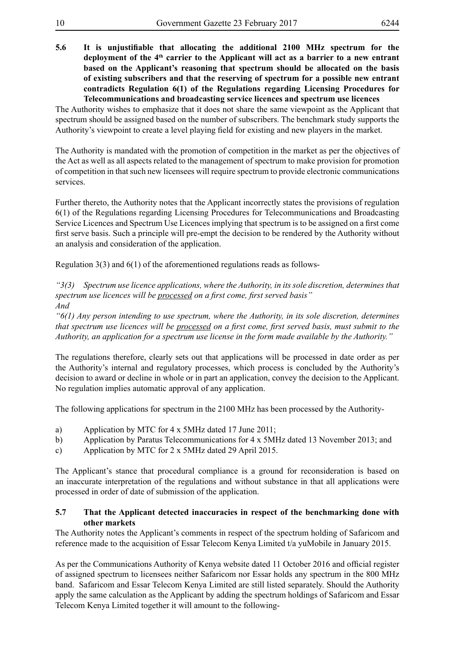**5.6 It is unjustifiable that allocating the additional 2100 MHz spectrum for the**  deployment of the 4<sup>th</sup> carrier to the Applicant will act as a barrier to a new entrant **based on the Applicant's reasoning that spectrum should be allocated on the basis of existing subscribers and that the reserving of spectrum for a possible new entrant contradicts Regulation 6(1) of the Regulations regarding Licensing Procedures for Telecommunications and broadcasting service licences and spectrum use licences**

The Authority wishes to emphasize that it does not share the same viewpoint as the Applicant that spectrum should be assigned based on the number of subscribers. The benchmark study supports the Authority's viewpoint to create a level playing field for existing and new players in the market.

The Authority is mandated with the promotion of competition in the market as per the objectives of the Act as well as all aspects related to the management of spectrum to make provision for promotion of competition in that such new licensees will require spectrum to provide electronic communications services.

Further thereto, the Authority notes that the Applicant incorrectly states the provisions of regulation 6(1) of the Regulations regarding Licensing Procedures for Telecommunications and Broadcasting Service Licences and Spectrum Use Licences implying that spectrum is to be assigned on a first come first serve basis. Such a principle will pre-empt the decision to be rendered by the Authority without an analysis and consideration of the application.

Regulation 3(3) and 6(1) of the aforementioned regulations reads as follows-

*"3(3) Spectrum use licence applications, where the Authority, in its sole discretion, determines that spectrum use licences will be processed on a first come, first served basis" And*

*"6(1) Any person intending to use spectrum, where the Authority, in its sole discretion, determines that spectrum use licences will be processed on a first come, first served basis, must submit to the Authority, an application for a spectrum use license in the form made available by the Authority."*

The regulations therefore, clearly sets out that applications will be processed in date order as per the Authority's internal and regulatory processes, which process is concluded by the Authority's decision to award or decline in whole or in part an application, convey the decision to the Applicant. No regulation implies automatic approval of any application.

The following applications for spectrum in the 2100 MHz has been processed by the Authority-

- a) Application by MTC for 4 x 5MHz dated 17 June 2011;
- b) Application by Paratus Telecommunications for 4 x 5MHz dated 13 November 2013; and
- c) Application by MTC for 2 x 5MHz dated 29 April 2015.

The Applicant's stance that procedural compliance is a ground for reconsideration is based on an inaccurate interpretation of the regulations and without substance in that all applications were processed in order of date of submission of the application.

# **5.7 That the Applicant detected inaccuracies in respect of the benchmarking done with other markets**

The Authority notes the Applicant's comments in respect of the spectrum holding of Safaricom and reference made to the acquisition of Essar Telecom Kenya Limited t/a yuMobile in January 2015.

As per the Communications Authority of Kenya website dated 11 October 2016 and official register of assigned spectrum to licensees neither Safaricom nor Essar holds any spectrum in the 800 MHz band. Safaricom and Essar Telecom Kenya Limited are still listed separately. Should the Authority apply the same calculation as the Applicant by adding the spectrum holdings of Safaricom and Essar Telecom Kenya Limited together it will amount to the following-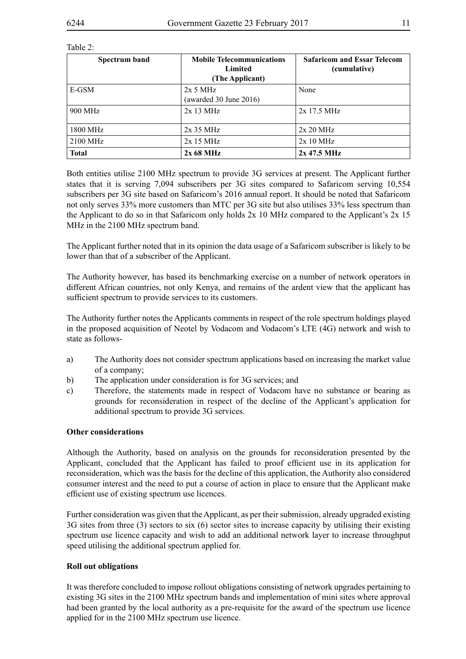#### Table 2:

| Spectrum band | <b>Mobile Telecommunications</b><br>Limited<br>(The Applicant) | <b>Safaricom and Essar Telecom</b><br>(cumulative) |
|---------------|----------------------------------------------------------------|----------------------------------------------------|
| E-GSM         | $2x$ 5 MHz<br>(awarded $30$ June $2016$ )                      | None                                               |
| 900 MHz       | $2x13 \text{ MHz}$                                             | $2x$ 17.5 MHz                                      |
| 1800 MHz      | $2x$ 35 MHz                                                    | 2x 20 MHz                                          |
| 2100 MHz      | $2x15 \text{ MHz}$                                             | $2x10 \text{ MHz}$                                 |
| <b>Total</b>  | $2x\,68\,\mathrm{MHz}$                                         | $2x$ 47.5 MHz                                      |

Both entities utilise 2100 MHz spectrum to provide 3G services at present. The Applicant further states that it is serving 7,094 subscribers per 3G sites compared to Safaricom serving 10,554 subscribers per 3G site based on Safaricom's 2016 annual report. It should be noted that Safaricom not only serves 33% more customers than MTC per 3G site but also utilises 33% less spectrum than the Applicant to do so in that Safaricom only holds 2x 10 MHz compared to the Applicant's 2x 15 MHz in the 2100 MHz spectrum band.

The Applicant further noted that in its opinion the data usage of a Safaricom subscriber is likely to be lower than that of a subscriber of the Applicant.

The Authority however, has based its benchmarking exercise on a number of network operators in different African countries, not only Kenya, and remains of the ardent view that the applicant has sufficient spectrum to provide services to its customers.

The Authority further notes the Applicants comments in respect of the role spectrum holdings played in the proposed acquisition of Neotel by Vodacom and Vodacom's LTE (4G) network and wish to state as follows-

- a) The Authority does not consider spectrum applications based on increasing the market value of a company;
- b) The application under consideration is for 3G services; and
- c) Therefore, the statements made in respect of Vodacom have no substance or bearing as grounds for reconsideration in respect of the decline of the Applicant's application for additional spectrum to provide 3G services.

#### **Other considerations**

Although the Authority, based on analysis on the grounds for reconsideration presented by the Applicant, concluded that the Applicant has failed to proof efficient use in its application for reconsideration, which was the basis for the decline of this application, the Authority also considered consumer interest and the need to put a course of action in place to ensure that the Applicant make efficient use of existing spectrum use licences.

Further consideration was given that the Applicant, as per their submission, already upgraded existing 3G sites from three (3) sectors to six (6) sector sites to increase capacity by utilising their existing spectrum use licence capacity and wish to add an additional network layer to increase throughput speed utilising the additional spectrum applied for.

#### **Roll out obligations**

It was therefore concluded to impose rollout obligations consisting of network upgrades pertaining to existing 3G sites in the 2100 MHz spectrum bands and implementation of mini sites where approval had been granted by the local authority as a pre-requisite for the award of the spectrum use licence applied for in the 2100 MHz spectrum use licence.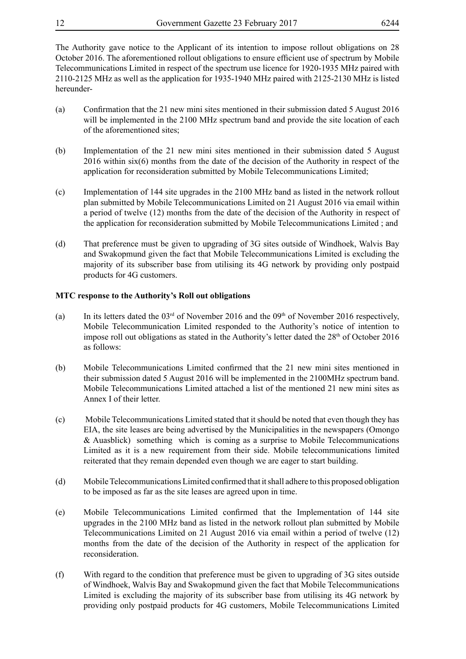The Authority gave notice to the Applicant of its intention to impose rollout obligations on 28 October 2016. The aforementioned rollout obligations to ensure efficient use of spectrum by Mobile Telecommunications Limited in respect of the spectrum use licence for 1920-1935 MHz paired with 2110-2125 MHz as well as the application for 1935-1940 MHz paired with 2125-2130 MHz is listed hereunder-

- (a) Confirmation that the 21 new mini sites mentioned in their submission dated 5 August 2016 will be implemented in the 2100 MHz spectrum band and provide the site location of each of the aforementioned sites;
- (b) Implementation of the 21 new mini sites mentioned in their submission dated 5 August 2016 within six(6) months from the date of the decision of the Authority in respect of the application for reconsideration submitted by Mobile Telecommunications Limited;
- (c) Implementation of 144 site upgrades in the 2100 MHz band as listed in the network rollout plan submitted by Mobile Telecommunications Limited on 21 August 2016 via email within a period of twelve (12) months from the date of the decision of the Authority in respect of the application for reconsideration submitted by Mobile Telecommunications Limited ; and
- (d) That preference must be given to upgrading of 3G sites outside of Windhoek, Walvis Bay and Swakopmund given the fact that Mobile Telecommunications Limited is excluding the majority of its subscriber base from utilising its 4G network by providing only postpaid products for 4G customers.

#### **MTC response to the Authority's Roll out obligations**

- (a) In its letters dated the  $03<sup>rd</sup>$  of November 2016 and the  $09<sup>th</sup>$  of November 2016 respectively, Mobile Telecommunication Limited responded to the Authority's notice of intention to impose roll out obligations as stated in the Authority's letter dated the  $28<sup>th</sup>$  of October 2016 as follows:
- (b) Mobile Telecommunications Limited confirmed that the 21 new mini sites mentioned in their submission dated 5 August 2016 will be implemented in the 2100MHz spectrum band. Mobile Telecommunications Limited attached a list of the mentioned 21 new mini sites as Annex I of their letter.
- (c) Mobile Telecommunications Limited stated that it should be noted that even though they has EIA, the site leases are being advertised by the Municipalities in the newspapers (Omongo & Auasblick) something which is coming as a surprise to Mobile Telecommunications Limited as it is a new requirement from their side. Mobile telecommunications limited reiterated that they remain depended even though we are eager to start building.
- (d) Mobile Telecommunications Limited confirmed that it shall adhere to this proposed obligation to be imposed as far as the site leases are agreed upon in time.
- (e) Mobile Telecommunications Limited confirmed that the Implementation of 144 site upgrades in the 2100 MHz band as listed in the network rollout plan submitted by Mobile Telecommunications Limited on 21 August 2016 via email within a period of twelve (12) months from the date of the decision of the Authority in respect of the application for reconsideration.
- (f) With regard to the condition that preference must be given to upgrading of 3G sites outside of Windhoek, Walvis Bay and Swakopmund given the fact that Mobile Telecommunications Limited is excluding the majority of its subscriber base from utilising its 4G network by providing only postpaid products for 4G customers, Mobile Telecommunications Limited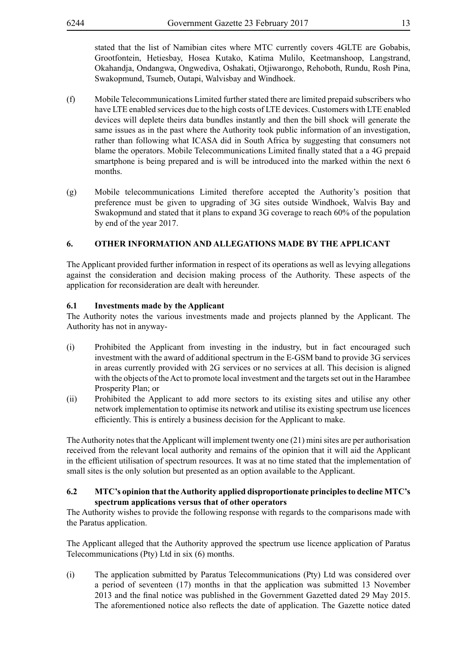stated that the list of Namibian cites where MTC currently covers 4GLTE are Gobabis, Grootfontein, Hetiesbay, Hosea Kutako, Katima Mulilo, Keetmanshoop, Langstrand, Okahandja, Ondangwa, Ongwediva, Oshakati, Otjiwarongo, Rehoboth, Rundu, Rosh Pina, Swakopmund, Tsumeb, Outapi, Walvisbay and Windhoek.

- (f) Mobile Telecommunications Limited further stated there are limited prepaid subscribers who have LTE enabled services due to the high costs of LTE devices. Customers with LTE enabled devices will deplete theirs data bundles instantly and then the bill shock will generate the same issues as in the past where the Authority took public information of an investigation, rather than following what ICASA did in South Africa by suggesting that consumers not blame the operators. Mobile Telecommunications Limited finally stated that a a 4G prepaid smartphone is being prepared and is will be introduced into the marked within the next 6 months.
- (g) Mobile telecommunications Limited therefore accepted the Authority's position that preference must be given to upgrading of 3G sites outside Windhoek, Walvis Bay and Swakopmund and stated that it plans to expand 3G coverage to reach 60% of the population by end of the year 2017.

# **6. OTHER INFORMATION AND ALLEGATIONS MADE BY THE APPLICANT**

The Applicant provided further information in respect of its operations as well as levying allegations against the consideration and decision making process of the Authority. These aspects of the application for reconsideration are dealt with hereunder.

#### **6.1 Investments made by the Applicant**

The Authority notes the various investments made and projects planned by the Applicant. The Authority has not in anyway-

- (i) Prohibited the Applicant from investing in the industry, but in fact encouraged such investment with the award of additional spectrum in the E-GSM band to provide 3G services in areas currently provided with 2G services or no services at all. This decision is aligned with the objects of the Act to promote local investment and the targets set out in the Harambee Prosperity Plan; or
- (ii) Prohibited the Applicant to add more sectors to its existing sites and utilise any other network implementation to optimise its network and utilise its existing spectrum use licences efficiently. This is entirely a business decision for the Applicant to make.

The Authority notes that the Applicant will implement twenty one (21) mini sites are per authorisation received from the relevant local authority and remains of the opinion that it will aid the Applicant in the efficient utilisation of spectrum resources. It was at no time stated that the implementation of small sites is the only solution but presented as an option available to the Applicant.

#### **6.2 MTC's opinion that the Authority applied disproportionate principles to decline MTC's spectrum applications versus that of other operators**

The Authority wishes to provide the following response with regards to the comparisons made with the Paratus application.

The Applicant alleged that the Authority approved the spectrum use licence application of Paratus Telecommunications (Pty) Ltd in six (6) months.

(i) The application submitted by Paratus Telecommunications (Pty) Ltd was considered over a period of seventeen (17) months in that the application was submitted 13 November 2013 and the final notice was published in the Government Gazetted dated 29 May 2015. The aforementioned notice also reflects the date of application. The Gazette notice dated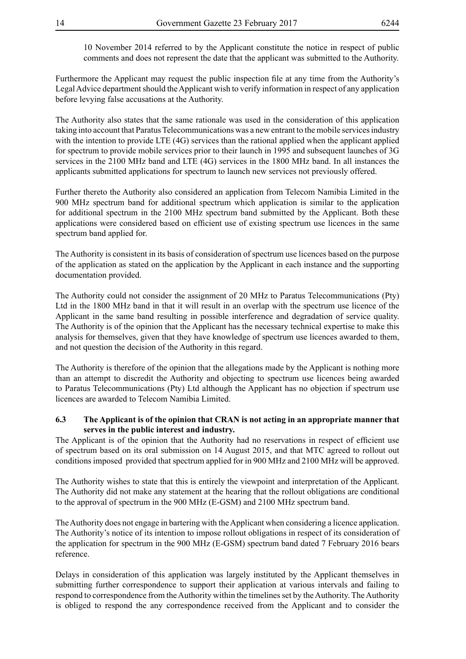10 November 2014 referred to by the Applicant constitute the notice in respect of public comments and does not represent the date that the applicant was submitted to the Authority.

Furthermore the Applicant may request the public inspection file at any time from the Authority's Legal Advice department should the Applicant wish to verify information in respect of any application before levying false accusations at the Authority.

The Authority also states that the same rationale was used in the consideration of this application taking into account that Paratus Telecommunications was a new entrant to the mobile services industry with the intention to provide LTE (4G) services than the rational applied when the applicant applied for spectrum to provide mobile services prior to their launch in 1995 and subsequent launches of 3G services in the 2100 MHz band and LTE (4G) services in the 1800 MHz band. In all instances the applicants submitted applications for spectrum to launch new services not previously offered.

Further thereto the Authority also considered an application from Telecom Namibia Limited in the 900 MHz spectrum band for additional spectrum which application is similar to the application for additional spectrum in the 2100 MHz spectrum band submitted by the Applicant. Both these applications were considered based on efficient use of existing spectrum use licences in the same spectrum band applied for.

The Authority is consistent in its basis of consideration of spectrum use licences based on the purpose of the application as stated on the application by the Applicant in each instance and the supporting documentation provided.

The Authority could not consider the assignment of 20 MHz to Paratus Telecommunications (Pty) Ltd in the 1800 MHz band in that it will result in an overlap with the spectrum use licence of the Applicant in the same band resulting in possible interference and degradation of service quality. The Authority is of the opinion that the Applicant has the necessary technical expertise to make this analysis for themselves, given that they have knowledge of spectrum use licences awarded to them, and not question the decision of the Authority in this regard.

The Authority is therefore of the opinion that the allegations made by the Applicant is nothing more than an attempt to discredit the Authority and objecting to spectrum use licences being awarded to Paratus Telecommunications (Pty) Ltd although the Applicant has no objection if spectrum use licences are awarded to Telecom Namibia Limited.

#### **6.3 The Applicant is of the opinion that CRAN is not acting in an appropriate manner that serves in the public interest and industry.**

The Applicant is of the opinion that the Authority had no reservations in respect of efficient use of spectrum based on its oral submission on 14 August 2015, and that MTC agreed to rollout out conditions imposed provided that spectrum applied for in 900 MHz and 2100 MHz will be approved.

The Authority wishes to state that this is entirely the viewpoint and interpretation of the Applicant. The Authority did not make any statement at the hearing that the rollout obligations are conditional to the approval of spectrum in the 900 MHz (E-GSM) and 2100 MHz spectrum band.

The Authority does not engage in bartering with the Applicant when considering a licence application. The Authority's notice of its intention to impose rollout obligations in respect of its consideration of the application for spectrum in the 900 MHz (E-GSM) spectrum band dated 7 February 2016 bears reference.

Delays in consideration of this application was largely instituted by the Applicant themselves in submitting further correspondence to support their application at various intervals and failing to respond to correspondence from the Authority within the timelines set by the Authority. The Authority is obliged to respond the any correspondence received from the Applicant and to consider the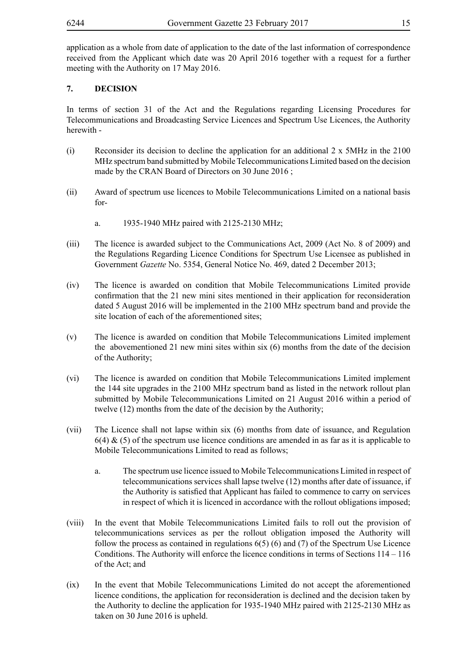application as a whole from date of application to the date of the last information of correspondence received from the Applicant which date was 20 April 2016 together with a request for a further meeting with the Authority on 17 May 2016.

# **7. DECISION**

In terms of section 31 of the Act and the Regulations regarding Licensing Procedures for Telecommunications and Broadcasting Service Licences and Spectrum Use Licences, the Authority herewith -

- (i) Reconsider its decision to decline the application for an additional 2 x 5MHz in the 2100 MHz spectrum band submitted by Mobile Telecommunications Limited based on the decision made by the CRAN Board of Directors on 30 June 2016 ;
- (ii) Award of spectrum use licences to Mobile Telecommunications Limited on a national basis for
	- a. 1935-1940 MHz paired with 2125-2130 MHz;
- (iii) The licence is awarded subject to the Communications Act, 2009 (Act No. 8 of 2009) and the Regulations Regarding Licence Conditions for Spectrum Use Licensee as published in Government *Gazette* No. 5354, General Notice No. 469, dated 2 December 2013;
- (iv) The licence is awarded on condition that Mobile Telecommunications Limited provide confirmation that the 21 new mini sites mentioned in their application for reconsideration dated 5 August 2016 will be implemented in the 2100 MHz spectrum band and provide the site location of each of the aforementioned sites;
- (v) The licence is awarded on condition that Mobile Telecommunications Limited implement the abovementioned 21 new mini sites within six (6) months from the date of the decision of the Authority;
- (vi) The licence is awarded on condition that Mobile Telecommunications Limited implement the 144 site upgrades in the 2100 MHz spectrum band as listed in the network rollout plan submitted by Mobile Telecommunications Limited on 21 August 2016 within a period of twelve (12) months from the date of the decision by the Authority;
- (vii) The Licence shall not lapse within six (6) months from date of issuance, and Regulation  $6(4)$  & (5) of the spectrum use licence conditions are amended in as far as it is applicable to Mobile Telecommunications Limited to read as follows;
	- a. The spectrum use licence issued to Mobile Telecommunications Limited in respect of telecommunications services shall lapse twelve (12) months after date of issuance, if the Authority is satisfied that Applicant has failed to commence to carry on services in respect of which it is licenced in accordance with the rollout obligations imposed;
- (viii) In the event that Mobile Telecommunications Limited fails to roll out the provision of telecommunications services as per the rollout obligation imposed the Authority will follow the process as contained in regulations  $6(5)$  (6) and (7) of the Spectrum Use Licence Conditions. The Authority will enforce the licence conditions in terms of Sections 114 – 116 of the Act; and
- (ix) In the event that Mobile Telecommunications Limited do not accept the aforementioned licence conditions, the application for reconsideration is declined and the decision taken by the Authority to decline the application for 1935-1940 MHz paired with 2125-2130 MHz as taken on 30 June 2016 is upheld.